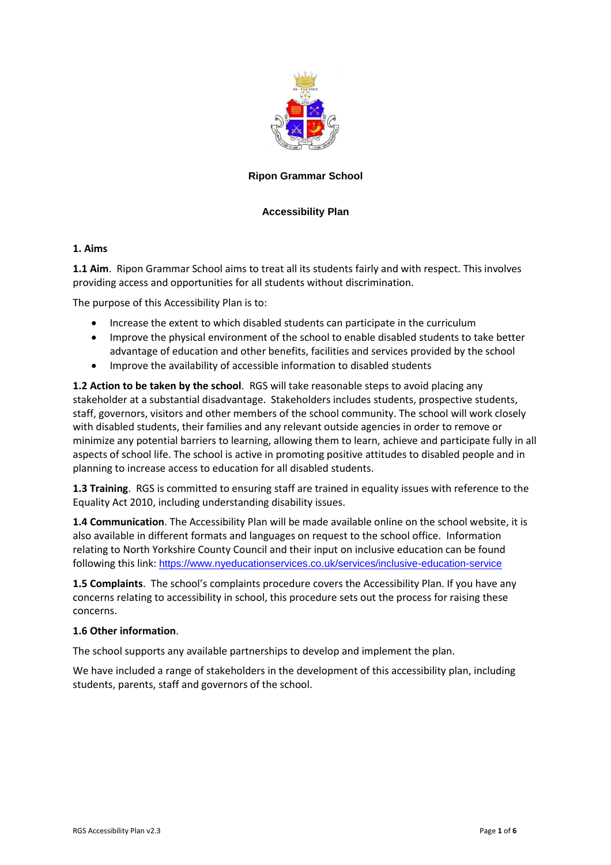

### **Ripon Grammar School**

### **Accessibility Plan**

#### **1. Aims**

**1.1 Aim**. Ripon Grammar School aims to treat all its students fairly and with respect. This involves providing access and opportunities for all students without discrimination.

The purpose of this Accessibility Plan is to:

- Increase the extent to which disabled students can participate in the curriculum
- Improve the physical environment of the school to enable disabled students to take better advantage of education and other benefits, facilities and services provided by the school
- Improve the availability of accessible information to disabled students

**1.2 Action to be taken by the school**. RGS will take reasonable steps to avoid placing any stakeholder at a substantial disadvantage. Stakeholders includes students, prospective students, staff, governors, visitors and other members of the school community. The school will work closely with disabled students, their families and any relevant outside agencies in order to remove or minimize any potential barriers to learning, allowing them to learn, achieve and participate fully in all aspects of school life. The school is active in promoting positive attitudes to disabled people and in planning to increase access to education for all disabled students.

**1.3 Training**. RGS is committed to ensuring staff are trained in equality issues with reference to the Equality Act 2010, including understanding disability issues.

**1.4 Communication**. The Accessibility Plan will be made available online on the school website, it is also available in different formats and languages on request to the school office. Information relating to North Yorkshire County Council and their input on inclusive education can be found following this link: https://www.nyeducationservices.co.uk/services/inclusive-education-service

**1.5 Complaints**. The school's complaints procedure covers the Accessibility Plan. If you have any concerns relating to accessibility in school, this procedure sets out the process for raising these concerns.

#### **1.6 Other information**.

The school supports any available partnerships to develop and implement the plan.

We have included a range of stakeholders in the development of this accessibility plan, including students, parents, staff and governors of the school.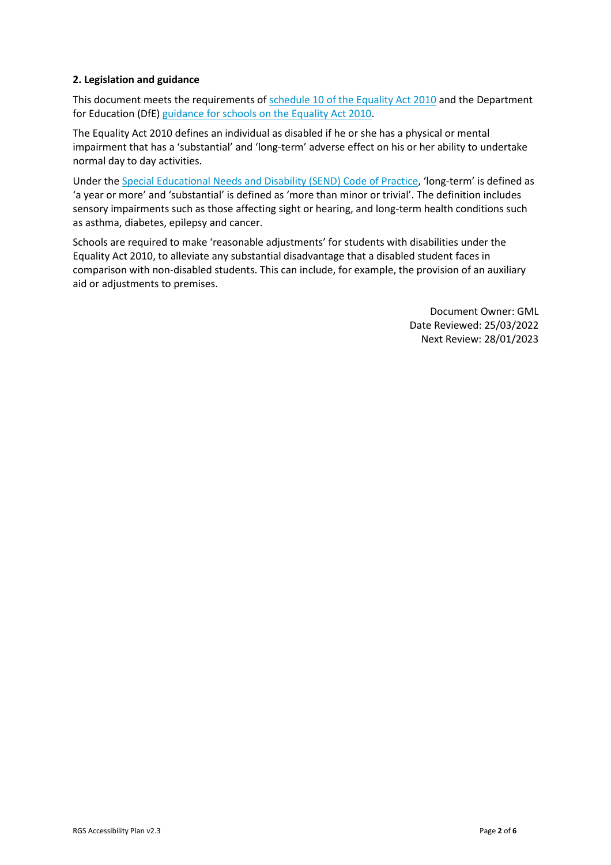### **2. Legislation and guidance**

This document meets the requirements of [schedule 10 of the Equality Act 2010](http://www.legislation.gov.uk/ukpga/2010/15/schedule/10) and the Department for Education (DfE) [guidance for schools on the Equality Act 2010.](https://www.gov.uk/government/publications/equality-act-2010-advice-for-schools)

The Equality Act 2010 defines an individual as disabled if he or she has a physical or mental impairment that has a 'substantial' and 'long-term' adverse effect on his or her ability to undertake normal day to day activities.

Under th[e Special Educational Needs and Disability \(SEND\) Code of Practice](https://www.gov.uk/government/publications/send-code-of-practice-0-to-25), 'long-term' is defined as 'a year or more' and 'substantial' is defined as 'more than minor or trivial'. The definition includes sensory impairments such as those affecting sight or hearing, and long-term health conditions such as asthma, diabetes, epilepsy and cancer.

Schools are required to make 'reasonable adjustments' for students with disabilities under the Equality Act 2010, to alleviate any substantial disadvantage that a disabled student faces in comparison with non-disabled students. This can include, for example, the provision of an auxiliary aid or adjustments to premises.

> Document Owner: GML Date Reviewed: 25/03/2022 Next Review: 28/01/2023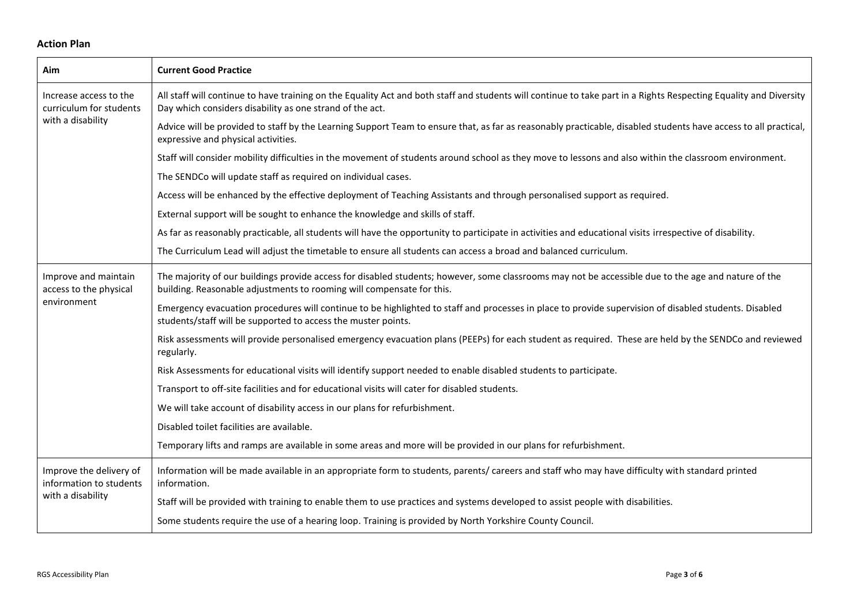## **Action Plan**

| Aim                                                | <b>Current Good Practice</b>                                                                                                                                                                                                  |  |  |  |  |  |  |  |  |
|----------------------------------------------------|-------------------------------------------------------------------------------------------------------------------------------------------------------------------------------------------------------------------------------|--|--|--|--|--|--|--|--|
| Increase access to the<br>curriculum for students  | All staff will continue to have training on the Equality Act and both staff and students will continue to take part in a Rights Respecting Equality and Diversity<br>Day which considers disability as one strand of the act. |  |  |  |  |  |  |  |  |
| with a disability                                  | Advice will be provided to staff by the Learning Support Team to ensure that, as far as reasonably practicable, disabled students have access to all practical,<br>expressive and physical activities.                        |  |  |  |  |  |  |  |  |
|                                                    | Staff will consider mobility difficulties in the movement of students around school as they move to lessons and also within the classroom environment.                                                                        |  |  |  |  |  |  |  |  |
|                                                    | The SENDCo will update staff as required on individual cases.                                                                                                                                                                 |  |  |  |  |  |  |  |  |
|                                                    | Access will be enhanced by the effective deployment of Teaching Assistants and through personalised support as required.                                                                                                      |  |  |  |  |  |  |  |  |
|                                                    | External support will be sought to enhance the knowledge and skills of staff.                                                                                                                                                 |  |  |  |  |  |  |  |  |
|                                                    | As far as reasonably practicable, all students will have the opportunity to participate in activities and educational visits irrespective of disability.                                                                      |  |  |  |  |  |  |  |  |
|                                                    | The Curriculum Lead will adjust the timetable to ensure all students can access a broad and balanced curriculum.                                                                                                              |  |  |  |  |  |  |  |  |
| Improve and maintain<br>access to the physical     | The majority of our buildings provide access for disabled students; however, some classrooms may not be accessible due to the age and nature of the<br>building. Reasonable adjustments to rooming will compensate for this.  |  |  |  |  |  |  |  |  |
| environment                                        | Emergency evacuation procedures will continue to be highlighted to staff and processes in place to provide supervision of disabled students. Disabled<br>students/staff will be supported to access the muster points.        |  |  |  |  |  |  |  |  |
|                                                    | Risk assessments will provide personalised emergency evacuation plans (PEEPs) for each student as required. These are held by the SENDCo and reviewed<br>regularly.                                                           |  |  |  |  |  |  |  |  |
|                                                    | Risk Assessments for educational visits will identify support needed to enable disabled students to participate.                                                                                                              |  |  |  |  |  |  |  |  |
|                                                    | Transport to off-site facilities and for educational visits will cater for disabled students.                                                                                                                                 |  |  |  |  |  |  |  |  |
|                                                    | We will take account of disability access in our plans for refurbishment.                                                                                                                                                     |  |  |  |  |  |  |  |  |
|                                                    | Disabled toilet facilities are available.                                                                                                                                                                                     |  |  |  |  |  |  |  |  |
|                                                    | Temporary lifts and ramps are available in some areas and more will be provided in our plans for refurbishment.                                                                                                               |  |  |  |  |  |  |  |  |
| Improve the delivery of<br>information to students | Information will be made available in an appropriate form to students, parents/ careers and staff who may have difficulty with standard printed<br>information.                                                               |  |  |  |  |  |  |  |  |
| with a disability                                  | Staff will be provided with training to enable them to use practices and systems developed to assist people with disabilities.                                                                                                |  |  |  |  |  |  |  |  |
|                                                    | Some students require the use of a hearing loop. Training is provided by North Yorkshire County Council.                                                                                                                      |  |  |  |  |  |  |  |  |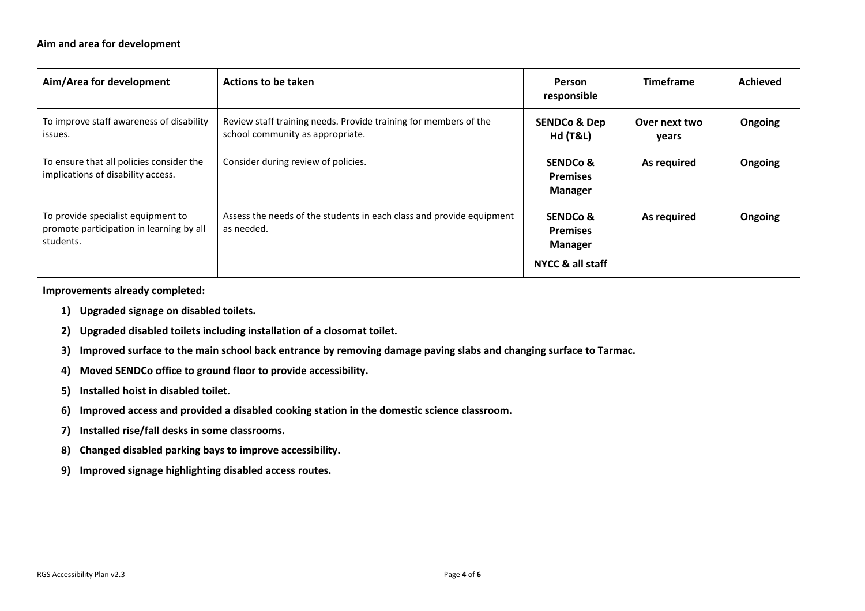#### **Aim and area for development**

| Aim/Area for development                                                                    | Actions to be taken                                                                                  | <b>Person</b><br>responsible                      | <b>Timeframe</b>       | <b>Achieved</b> |
|---------------------------------------------------------------------------------------------|------------------------------------------------------------------------------------------------------|---------------------------------------------------|------------------------|-----------------|
| To improve staff awareness of disability<br>issues.                                         | Review staff training needs. Provide training for members of the<br>school community as appropriate. | <b>SENDCo &amp; Dep</b><br><b>Hd (T&amp;L)</b>    | Over next two<br>years | Ongoing         |
| To ensure that all policies consider the<br>implications of disability access.              | Consider during review of policies.                                                                  | <b>SENDCo &amp;</b><br><b>Premises</b><br>Manager | As required            | Ongoing         |
| To provide specialist equipment to<br>promote participation in learning by all<br>students. | Assess the needs of the students in each class and provide equipment<br>as needed.                   | SENDCo &<br><b>Premises</b><br>Manager            | As required            | Ongoing         |
|                                                                                             |                                                                                                      | NYCC & all staff                                  |                        |                 |

**Improvements already completed:**

- **1) Upgraded signage on disabled toilets.**
- **2) Upgraded disabled toilets including installation of a closomat toilet.**
- **3) Improved surface to the main school back entrance by removing damage paving slabs and changing surface to Tarmac.**
- **4) Moved SENDCo office to ground floor to provide accessibility.**
- **5) Installed hoist in disabled toilet.**
- **6) Improved access and provided a disabled cooking station in the domestic science classroom.**
- **7) Installed rise/fall desks in some classrooms.**
- **8) Changed disabled parking bays to improve accessibility.**
- **9) Improved signage highlighting disabled access routes.**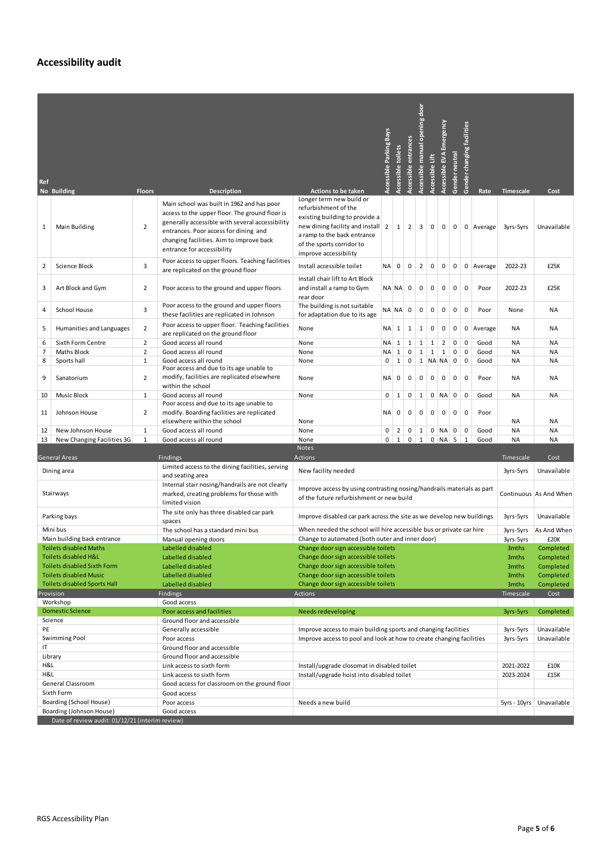# **Accessibility audit**

|                                                                             |                                                       |                |                                                                                                                                                                                                                                                                    |                                                                                                                                                                                                              | <b>Accessible Parking Bays</b> | Accessible toilets | entrances    | opening door<br>Accessible manual |                 | Accessible EVA Emergency |                | changing facilities |                            |             |                            |
|-----------------------------------------------------------------------------|-------------------------------------------------------|----------------|--------------------------------------------------------------------------------------------------------------------------------------------------------------------------------------------------------------------------------------------------------------------|--------------------------------------------------------------------------------------------------------------------------------------------------------------------------------------------------------------|--------------------------------|--------------------|--------------|-----------------------------------|-----------------|--------------------------|----------------|---------------------|----------------------------|-------------|----------------------------|
|                                                                             |                                                       |                |                                                                                                                                                                                                                                                                    |                                                                                                                                                                                                              |                                |                    | Accessible   |                                   | Accessible Lift |                          | Gender neutral |                     |                            |             |                            |
| Ref                                                                         | No Building                                           | <b>Floors</b>  | <b>Description</b>                                                                                                                                                                                                                                                 | <b>Actions to be taken</b>                                                                                                                                                                                   |                                |                    |              |                                   |                 |                          |                | Gender              | Rate                       | Timescale   | Cost                       |
| 1                                                                           | Main Building                                         | $\overline{2}$ | Main school was built in 1962 and has poor<br>access to the upper floor. The ground floor is<br>generally accessible with several accessibility<br>entrances. Poor access for dining and<br>changing facilities. Aim to improve back<br>entrance for accessibility | Longer term new build or<br>refurbishment of the<br>existing building to provide a<br>new dining facility and install 2<br>a ramp to the back entrance<br>of the sports corridor to<br>improve accessibility |                                | $\mathbf{1}$       | 2            | 3                                 | 0               | $\mathbf 0$              | 0              |                     | 0 Average                  | 3yrs-5yrs   | Unavailable                |
| 2                                                                           | Science Block                                         | 3              | Poor access to upper floors. Teaching facilities<br>are replicated on the ground floor                                                                                                                                                                             | Install accessible toilet                                                                                                                                                                                    | ΝA                             | 0                  | $\mathbf 0$  | 2                                 | $\mathbf 0$     | 0                        | $\mathbf 0$    |                     | $0$   Average              | 2022-23     | £25K                       |
| 3                                                                           | Art Block and Gym                                     | $\overline{2}$ | Poor access to the ground and upper floors                                                                                                                                                                                                                         | Install chair lift to Art Block<br>and install a ramp to Gym<br>rear door                                                                                                                                    |                                | NA NA 0            |              | $\mathbf 0$                       | 0               | 0                        | 0              | 0                   | Poor                       | 2022-23     | £25K                       |
| 4                                                                           | School House                                          | 3              | Poor access to the ground and upper floors<br>these facilities are replicated in Johnson                                                                                                                                                                           | The building is not suitable<br>for adaptation due to its age                                                                                                                                                |                                | $NA$ $NA$ 0        |              | 0                                 | 0               | $\mathbf 0$              | 0              | $\mathbf 0$         | Poor                       | None        | ΝA                         |
| 5                                                                           | Humanities and Languages                              | $\overline{2}$ | Poor access to upper floor. Teaching facilities<br>are replicated on the ground floor                                                                                                                                                                              | None                                                                                                                                                                                                         | $NA$ 1                         |                    | $\mathbf{1}$ | $\mathbf{1}$                      | 0               | 0                        | 0              |                     | 0 Average                  | ΝA          | ΝA                         |
| 6                                                                           | Sixth Form Centre                                     | $\overline{2}$ | Good access all round                                                                                                                                                                                                                                              | None                                                                                                                                                                                                         |                                | NA 1               | $\mathbf{1}$ | $\mathbf{1}$                      |                 | $1 \vert 2$              | $\overline{0}$ | $\overline{0}$      | Good                       | ΝA          | ΝA                         |
| 7                                                                           | Maths Block                                           | 2              | Good access all round                                                                                                                                                                                                                                              | None                                                                                                                                                                                                         |                                | $NA$ 1             | $\mathsf 0$  | $\mathbf{1}$                      | $1 \vert 1$     |                          | $\overline{0}$ | $\mathbf 0$         | Good                       | ΝA          | ΝA                         |
| 8                                                                           | Sports hall                                           | $\mathbf{1}$   | Good access all round<br>Poor access and due to its age unable to                                                                                                                                                                                                  | None                                                                                                                                                                                                         | 0                              | $1 \vert 0$        |              |                                   | $1$ NA NA 0 0   |                          |                |                     | Good                       | NA          | ΝA                         |
| 9                                                                           | Sanatorium                                            | $\overline{2}$ | modify, facilities are replicated elsewhere<br>within the school                                                                                                                                                                                                   | None                                                                                                                                                                                                         | <b>NA</b>                      | $\mathbf 0$        | $\mathbf 0$  | 0                                 | $\mathbf 0$     | $\mathsf 0$              | $\mathbf 0$    | 0                   | Poor                       | ΝA          | ΝA                         |
| 10                                                                          | Music Block                                           | $\mathbf{1}$   | Good access all round                                                                                                                                                                                                                                              | None                                                                                                                                                                                                         | 0                              | $\mathbf{1}$       | $\mathbf 0$  | $\mathbf{1}$                      |                 | $0$ NA $0$               |                | 0                   | Good                       | NA          | ΝA                         |
| 11                                                                          | Johnson House                                         | 2              | Poor access and due to its age unable to<br>modify. Boarding facilities are replicated<br>elsewhere within the school                                                                                                                                              | None                                                                                                                                                                                                         | <b>NA</b>                      | $\mathbf 0$        | 0            | $\mathbf 0$                       | 0               | 0                        | 0              | 0                   | Poor                       | NA          | ΝA                         |
| 12                                                                          | New Johnson House                                     | 1              | Good access all round                                                                                                                                                                                                                                              | None                                                                                                                                                                                                         | 0                              | $\overline{2}$     | $\mathbf 0$  | $\mathbf{1}$                      |                 | $0$ NA                   | $\mathbf{0}$   | $\overline{0}$      | Good                       | <b>NA</b>   | ΝA                         |
| 13                                                                          | New Changing Facilities 3G                            | $\mathbf{1}$   | Good access all round                                                                                                                                                                                                                                              | None                                                                                                                                                                                                         |                                | $0 \mid 1$         | $\mathsf 0$  | 1                                 |                 | $0$ NA 5 1               |                |                     | Good                       | <b>NA</b>   | NA                         |
|                                                                             |                                                       |                |                                                                                                                                                                                                                                                                    | Notes                                                                                                                                                                                                        |                                |                    |              |                                   |                 |                          |                |                     |                            |             |                            |
|                                                                             | General Areas<br>Dining area                          |                | Findings<br>Limited access to the dining facilities, serving<br>and seating area                                                                                                                                                                                   | Actions<br>Timescale<br>Cost<br>New facility needed<br>3yrs-5yrs                                                                                                                                             |                                |                    |              |                                   |                 |                          |                |                     |                            | Unavailable |                            |
| Stairways                                                                   |                                                       |                | Internal stair nosing/handrails are not clearly<br>marked, creating problems for those with<br>limited vision                                                                                                                                                      | Improve access by using contrasting nosing/handrails materials as part<br>Continuous As And When<br>of the future refurbishment or new build                                                                 |                                |                    |              |                                   |                 |                          |                |                     |                            |             |                            |
| Parking bays                                                                |                                                       |                | The site only has three disabled car park<br>spaces                                                                                                                                                                                                                | Improve disabled car park across the site as we develop new buildings<br>3yrs-5yrs                                                                                                                           |                                |                    |              |                                   |                 |                          |                |                     |                            | Unavailable |                            |
| Mini bus                                                                    |                                                       |                | The school has a standard mini bus                                                                                                                                                                                                                                 | When needed the school will hire accessible bus or private car hire                                                                                                                                          |                                |                    |              |                                   |                 |                          |                |                     | 3yrs-5yrs                  | As And When |                            |
|                                                                             | Main building back entrance                           |                | Manual opening doors                                                                                                                                                                                                                                               | Change to automated (both outer and inner door)<br>3yrs-5yrs                                                                                                                                                 |                                |                    |              |                                   |                 |                          |                |                     | £20K                       |             |                            |
|                                                                             | <b>Toilets disabled Maths</b><br>Toilets disabled H&L |                | Labelled disabled<br>Labelled disabled                                                                                                                                                                                                                             | Change door sign accessible toilets                                                                                                                                                                          |                                |                    |              |                                   |                 |                          |                |                     |                            | 3mths       | Completed<br>Completed     |
|                                                                             | <b>Toilets disabled Sixth Form</b>                    |                | Labelled disabled                                                                                                                                                                                                                                                  | Change door sign accessible toilets<br>3mths<br>Change door sign accessible toilets<br>3mths                                                                                                                 |                                |                    |              |                                   |                 |                          |                |                     |                            | Completed   |                            |
| <b>Toilets disabled Music</b>                                               |                                                       |                | Labelled disabled                                                                                                                                                                                                                                                  | Change door sign accessible toilets                                                                                                                                                                          |                                |                    |              |                                   |                 |                          |                |                     | 3mths                      | Completed   |                            |
| <b>Toilets disabled Sports Hall</b>                                         |                                                       |                | Labelled disabled                                                                                                                                                                                                                                                  | Change door sign accessible toilets                                                                                                                                                                          |                                |                    |              |                                   |                 |                          |                | 3mths               | Completed                  |             |                            |
| Provision<br>Findings                                                       |                                                       |                |                                                                                                                                                                                                                                                                    | Actions                                                                                                                                                                                                      |                                |                    |              |                                   |                 |                          |                |                     |                            | Timescale   | Cost                       |
| Workshop                                                                    |                                                       |                | Good access                                                                                                                                                                                                                                                        |                                                                                                                                                                                                              |                                |                    |              |                                   |                 |                          |                |                     |                            |             |                            |
| <b>Domestic Science</b>                                                     |                                                       |                | Poor access and facilities                                                                                                                                                                                                                                         | Needs redeveloping                                                                                                                                                                                           |                                |                    |              |                                   |                 |                          | 3yrs-5yrs      | Completed           |                            |             |                            |
| Science<br>PE                                                               |                                                       |                | Ground floor and accessible                                                                                                                                                                                                                                        |                                                                                                                                                                                                              |                                |                    |              |                                   |                 |                          |                |                     |                            |             |                            |
| Swimming Pool                                                               |                                                       |                | Generally accessible<br>Poor access                                                                                                                                                                                                                                | Improve access to main building sports and changing facilities<br>3yrs-5yrs<br>Improve access to pool and look at how to create changing facilities<br>3yrs-5yrs                                             |                                |                    |              |                                   |                 |                          |                |                     | Unavailable<br>Unavailable |             |                            |
| ΙT                                                                          |                                                       |                | Ground floor and accessible                                                                                                                                                                                                                                        |                                                                                                                                                                                                              |                                |                    |              |                                   |                 |                          |                |                     |                            |             |                            |
| Library                                                                     |                                                       |                | Ground floor and accessible                                                                                                                                                                                                                                        |                                                                                                                                                                                                              |                                |                    |              |                                   |                 |                          |                |                     |                            |             |                            |
| H&L                                                                         |                                                       |                | Link access to sixth form                                                                                                                                                                                                                                          | Install/upgrade closomat in disabled toilet                                                                                                                                                                  |                                |                    |              |                                   |                 |                          |                | 2021-2022           | £10K                       |             |                            |
| H&L                                                                         |                                                       |                | Link access to sixth form                                                                                                                                                                                                                                          | Install/upgrade hoist into disabled toilet                                                                                                                                                                   |                                |                    |              |                                   |                 |                          |                |                     |                            | 2023-2024   | £15K                       |
| General Classroom                                                           |                                                       |                | Good access for classroom on the ground floor                                                                                                                                                                                                                      |                                                                                                                                                                                                              |                                |                    |              |                                   |                 |                          |                |                     |                            |             |                            |
| Sixth Form                                                                  |                                                       |                | Good access                                                                                                                                                                                                                                                        |                                                                                                                                                                                                              |                                |                    |              |                                   |                 |                          |                |                     |                            |             |                            |
| Boarding (School House)                                                     |                                                       |                | Poor access                                                                                                                                                                                                                                                        | Needs a new build                                                                                                                                                                                            |                                |                    |              |                                   |                 |                          |                |                     |                            |             | 5yrs - 10yrs   Unavailable |
| Boarding (Johnson House)<br>Date of review audit: 01/12/21 (interim review) |                                                       |                | Good access                                                                                                                                                                                                                                                        |                                                                                                                                                                                                              |                                |                    |              |                                   |                 |                          |                |                     |                            |             |                            |